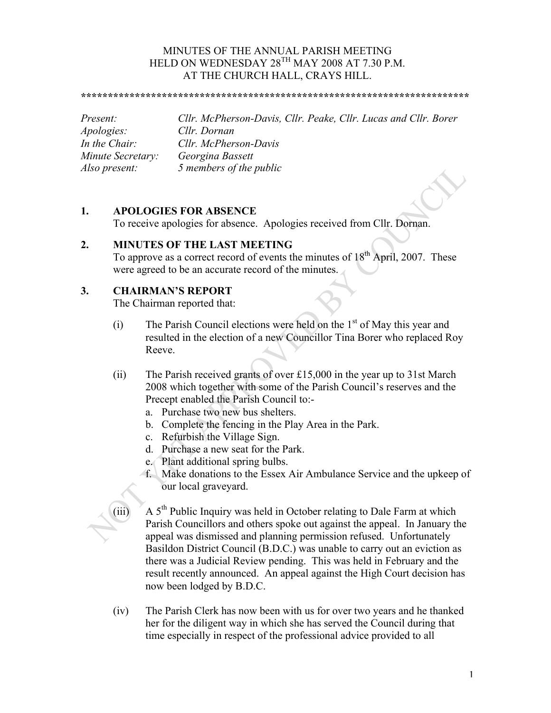### MINUTES OF THE ANNUAL PARISH MEETING HELD ON WEDNESDAY 28<sup>TH</sup> MAY 2008 AT 7.30 P.M. AT THE CHURCH HALL, CRAYS HILL.

**\*\*\*\*\*\*\*\*\*\*\*\*\*\*\*\*\*\*\*\*\*\*\*\*\*\*\*\*\*\*\*\*\*\*\*\*\*\*\*\*\*\*\*\*\*\*\*\*\*\*\*\*\*\*\*\*\*\*\*\*\*\*\*\*\*\*\*\*\*\*\*\***

*Apologies: Cllr. Dornan*

*Present: Cllr. McPherson-Davis, Cllr. Peake, Cllr. Lucas and Cllr. Borer In the Chair: Cllr. McPherson-Davis Minute Secretary: Georgina Bassett Also present: 5 members of the public*

## **1. APOLOGIES FOR ABSENCE**

To receive apologies for absence. Apologies received from Cllr. Dornan.

## **2. MINUTES OF THE LAST MEETING**

To approve as a correct record of events the minutes of 18<sup>th</sup> April, 2007. These were agreed to be an accurate record of the minutes.

# **3. CHAIRMAN'S REPORT**

The Chairman reported that:

- (i) The Parish Council elections were held on the  $1<sup>st</sup>$  of May this year and resulted in the election of a new Councillor Tina Borer who replaced Roy Reeve.
- (ii) The Parish received grants of over £15,000 in the year up to 31st March 2008 which together with some of the Parish Council's reserves and the Precept enabled the Parish Council to:
	- a. Purchase two new bus shelters.
	- b. Complete the fencing in the Play Area in the Park.
	- c. Refurbish the Village Sign.
	- d. Purchase a new seat for the Park.
	- e. Plant additional spring bulbs.
	- f. Make donations to the Essex Air Ambulance Service and the upkeep of our local graveyard.
- (iii)  $A 5<sup>th</sup>$  Public Inquiry was held in October relating to Dale Farm at which Parish Councillors and others spoke out against the appeal. In January the appeal was dismissed and planning permission refused. Unfortunately Basildon District Council (B.D.C.) was unable to carry out an eviction as there was a Judicial Review pending. This was held in February and the result recently announced. An appeal against the High Court decision has now been lodged by B.D.C.
- (iv) The Parish Clerk has now been with us for over two years and he thanked her for the diligent way in which she has served the Council during that time especially in respect of the professional advice provided to all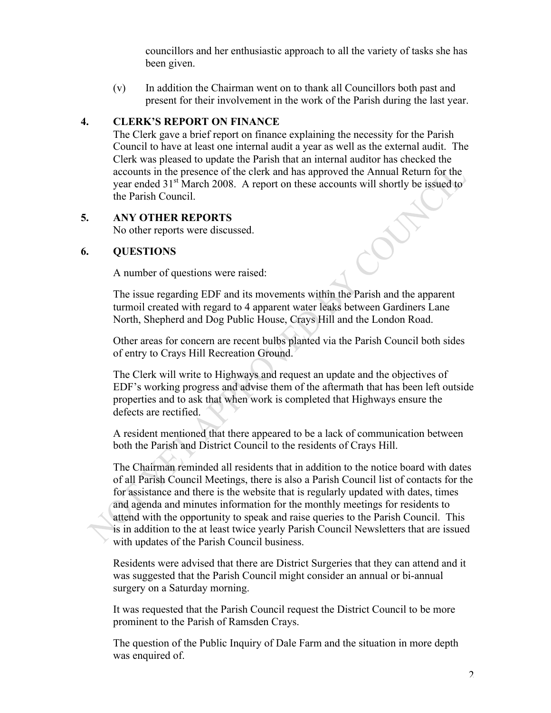councillors and her enthusiastic approach to all the variety of tasks she has been given.

(v) In addition the Chairman went on to thank all Councillors both past and present for their involvement in the work of the Parish during the last year.

## **4. CLERK'S REPORT ON FINANCE**

The Clerk gave a brief report on finance explaining the necessity for the Parish Council to have at least one internal audit a year as well as the external audit. The Clerk was pleased to update the Parish that an internal auditor has checked the accounts in the presence of the clerk and has approved the Annual Return for the year ended 31<sup>st</sup> March 2008. A report on these accounts will shortly be issued to the Parish Council.

# **5. ANY OTHER REPORTS**

No other reports were discussed.

# **6. QUESTIONS**

A number of questions were raised:

The issue regarding EDF and its movements within the Parish and the apparent turmoil created with regard to 4 apparent water leaks between Gardiners Lane North, Shepherd and Dog Public House, Crays Hill and the London Road.

Other areas for concern are recent bulbs planted via the Parish Council both sides of entry to Crays Hill Recreation Ground.

The Clerk will write to Highways and request an update and the objectives of EDF's working progress and advise them of the aftermath that has been left outside properties and to ask that when work is completed that Highways ensure the defects are rectified.

A resident mentioned that there appeared to be a lack of communication between both the Parish and District Council to the residents of Crays Hill.

The Chairman reminded all residents that in addition to the notice board with dates of all Parish Council Meetings, there is also a Parish Council list of contacts for the for assistance and there is the website that is regularly updated with dates, times and agenda and minutes information for the monthly meetings for residents to attend with the opportunity to speak and raise queries to the Parish Council. This is in addition to the at least twice yearly Parish Council Newsletters that are issued with updates of the Parish Council business.

Residents were advised that there are District Surgeries that they can attend and it was suggested that the Parish Council might consider an annual or bi-annual surgery on a Saturday morning.

It was requested that the Parish Council request the District Council to be more prominent to the Parish of Ramsden Crays.

The question of the Public Inquiry of Dale Farm and the situation in more depth was enquired of.